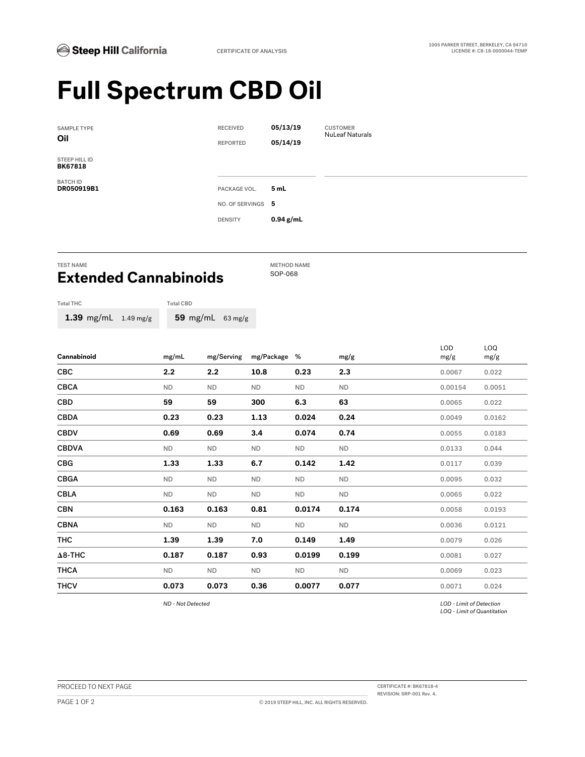## **Full Spectrum CBD Oil**

| <b>SAMPLE TYPE</b><br>Oil       | <b>RECEIVED</b><br><b>REPORTED</b> | 05/13/19<br>05/14/19 | <b>CUSTOMER</b><br><b>NuLeaf Naturals</b> |
|---------------------------------|------------------------------------|----------------------|-------------------------------------------|
| STEEP HILL ID<br><b>BK67818</b> |                                    |                      |                                           |
| <b>BATCH ID</b><br>DR050919B1   | PACKAGE VOL.                       | 5 mL                 |                                           |
|                                 | NO. OF SERVINGS 5                  |                      |                                           |
|                                 | <b>DENSITY</b>                     | $0.94$ g/mL          |                                           |

## TEST NAME<br> **Excessed and Commobinate** SOP-068 **Extended Cannabinoids**

| <b>Total THC</b>               | <b>Total CBD</b> |            |  |
|--------------------------------|------------------|------------|--|
| 1.39 mg/mL $1.49 \text{ mg/g}$ |                  | 59 mg/ $r$ |  |

| Cannabinoid    | mg/mL     | mg/Serving | mg/Package % |           | mg/g      | <b>LOD</b> | LOQ    |
|----------------|-----------|------------|--------------|-----------|-----------|------------|--------|
|                |           |            |              |           |           | mg/g       | mg/g   |
| <b>CBC</b>     | 2.2       | 2.2        | 10.8         | 0.23      | 2.3       | 0.0067     | 0.022  |
| <b>CBCA</b>    | <b>ND</b> | <b>ND</b>  | <b>ND</b>    | <b>ND</b> | <b>ND</b> | 0.00154    | 0.0051 |
| CBD            | 59        | 59         | 300          | 6.3       | 63        | 0.0065     | 0.022  |
| <b>CBDA</b>    | 0.23      | 0.23       | 1.13         | 0.024     | 0.24      | 0.0049     | 0.0162 |
| <b>CBDV</b>    | 0.69      | 0.69       | 3.4          | 0.074     | 0.74      | 0.0055     | 0.0183 |
| <b>CBDVA</b>   | <b>ND</b> | <b>ND</b>  | <b>ND</b>    | ND        | <b>ND</b> | 0.0133     | 0.044  |
| <b>CBG</b>     | 1.33      | 1.33       | 6.7          | 0.142     | 1.42      | 0.0117     | 0.039  |
| <b>CBGA</b>    | <b>ND</b> | <b>ND</b>  | <b>ND</b>    | <b>ND</b> | <b>ND</b> | 0.0095     | 0.032  |
| <b>CBLA</b>    | <b>ND</b> | <b>ND</b>  | <b>ND</b>    | <b>ND</b> | <b>ND</b> | 0.0065     | 0.022  |
| <b>CBN</b>     | 0.163     | 0.163      | 0.81         | 0.0174    | 0.174     | 0.0058     | 0.0193 |
| <b>CBNA</b>    | ND.       | <b>ND</b>  | <b>ND</b>    | <b>ND</b> | ND.       | 0.0036     | 0.0121 |
| <b>THC</b>     | 1.39      | 1.39       | 7.0          | 0.149     | 1.49      | 0.0079     | 0.026  |
| $\Delta$ 8-THC | 0.187     | 0.187      | 0.93         | 0.0199    | 0.199     | 0.0081     | 0.027  |
| <b>THCA</b>    | <b>ND</b> | <b>ND</b>  | <b>ND</b>    | ND        | <b>ND</b> | 0.0069     | 0.023  |
| <b>THCV</b>    | 0.073     | 0.073      | 0.36         | 0.0077    | 0.077     | 0.0071     | 0.024  |

*ND - Not Detected LOD - Limit of Detection LOQ - Limit of Quantitation*